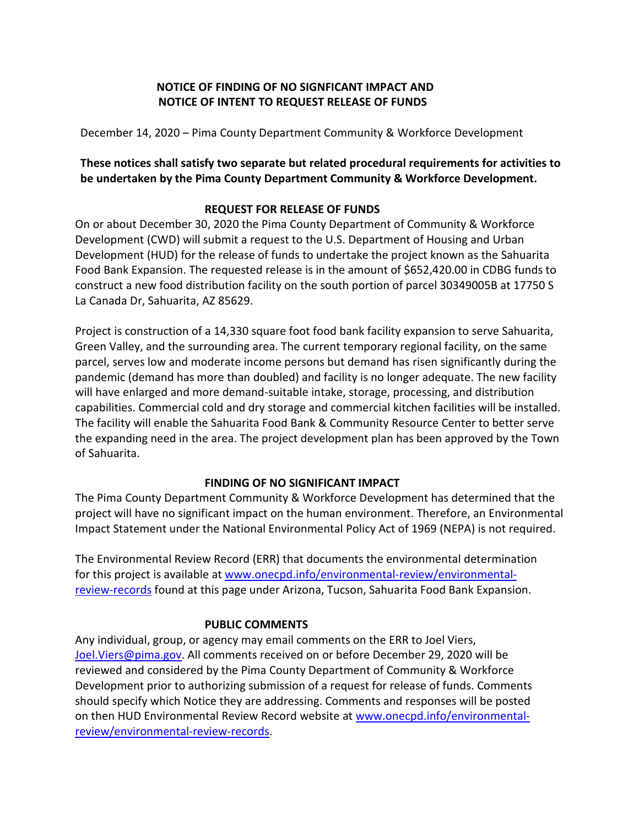## **NOTICE OF FINDING OF NO SIGNFICANT IMPACT AND NOTICE OF INTENT TO REQUEST RELEASE OF FUNDS**

December 14, 2020 – Pima County Department Community & Workforce Development

## **These notices shall satisfy two separate but related procedural requirements for activities to be undertaken by the Pima County Department Community & Workforce Development.**

# **REQUEST FOR RELEASE OF FUNDS**

On or about December 30, 2020 the Pima County Department of Community & Workforce Development (CWD) will submit a request to the U.S. Department of Housing and Urban Development (HUD) for the release of funds to undertake the project known as the Sahuarita Food Bank Expansion. The requested release is in the amount of \$652,420.00 in CDBG funds to construct a new food distribution facility on the south portion of parcel 30349005B at 17750 S La Canada Dr, Sahuarita, AZ 85629.

Project is construction of a 14,330 square foot food bank facility expansion to serve Sahuarita, Green Valley, and the surrounding area. The current temporary regional facility, on the same parcel, serves low and moderate income persons but demand has risen significantly during the pandemic (demand has more than doubled) and facility is no longer adequate. The new facility will have enlarged and more demand-suitable intake, storage, processing, and distribution capabilities. Commercial cold and dry storage and commercial kitchen facilities will be installed. The facility will enable the Sahuarita Food Bank & Community Resource Center to better serve the expanding need in the area. The project development plan has been approved by the Town of Sahuarita.

## **FINDING OF NO SIGNIFICANT IMPACT**

The Pima County Department Community & Workforce Development has determined that the project will have no significant impact on the human environment. Therefore, an Environmental Impact Statement under the National Environmental Policy Act of 1969 (NEPA) is not required.

The Environmental Review Record (ERR) that documents the environmental determination for this project is available at [www.onecpd.info/environmental-review/environmental](http://www.onecpd.info/environmental-review/environmental-review-records)[review-records](http://www.onecpd.info/environmental-review/environmental-review-records) found at this page under Arizona, Tucson, Sahuarita Food Bank Expansion.

## **PUBLIC COMMENTS**

Any individual, group, or agency may email comments on the ERR to Joel Viers, [Joel.Viers@pima.gov.](mailto:Joel.Viers@pima.gov) All comments received on or before December 29, 2020 will be reviewed and considered by the Pima County Department of Community & Workforce Development prior to authorizing submission of a request for release of funds. Comments should specify which Notice they are addressing. Comments and responses will be posted on then HUD Environmental Review Record website a[t www.onecpd.info/environmental](http://www.onecpd.info/environmental-review/environmental-review-records)[review/environmental-review-records.](http://www.onecpd.info/environmental-review/environmental-review-records)